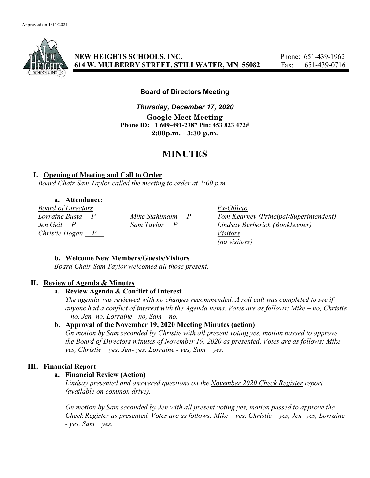

NEW HEIGHTS SCHOOLS, INC. Phone: 651-439-1962 614 W. MULBERRY STREET, STILLWATER, MN 55082 Fax: 651-439-0716

### Board of Directors Meeting

Thursday, December 17, 2020 Google Meet Meeting Phone ID: +1 609-491-2387 Pin: 453 823 472# 2:00p.m. - 3:30 p.m.

# MINUTES

### I. Opening of Meeting and Call to Order

Board Chair Sam Taylor called the meeting to order at 2:00 p.m.

## a. Attendance:

*Board of Directors*<br> *Lorraine Busta* <u>P</u><br> *Mike Stahlmann* <u>P</u> Tom Kearn Christie Hogan  $\overline{P}$  Visitors

Lorraine Busta  $\frac{P}{P}$  Mike Stahlmann  $\frac{P}{P}$  Tom Kearney (Principal/Superintendent)<br>Jen Geil  $\frac{P}{P}$  Sam Taylor  $\frac{P}{P}$  Lindsay Berberich (Bookkeeper) Jen Geil P Sam Taylor P Lindsay Berberich (Bookkeeper) (no visitors)

### b. Welcome New Members/Guests/Visitors

Board Chair Sam Taylor welcomed all those present.

### II. Review of Agenda & Minutes

### a. Review Agenda & Conflict of Interest

The agenda was reviewed with no changes recommended. A roll call was completed to see if anyone had a conflict of interest with the Agenda items. Votes are as follows: Mike – no, Christie  $- no$ , Jen- no, Lorraine - no, Sam  $- no$ .

### b. Approval of the November 19, 2020 Meeting Minutes (action)

On motion by Sam seconded by Christie with all present voting yes, motion passed to approve the Board of Directors minutes of November 19, 2020 as presented. Votes are as follows: Mike–  $yes, Christie - yes, Jen- yes, Lorraine - yes, Sam - ves.$ 

### III. Financial Report

### a. Financial Review (Action)

Lindsay presented and answered questions on the November 2020 Check Register report (available on common drive).

On motion by Sam seconded by Jen with all present voting yes, motion passed to approve the Check Register as presented. Votes are as follows: Mike – yes, Christie – yes, Jen- yes, Lorraine  $- yes$ , Sam  $- yes$ .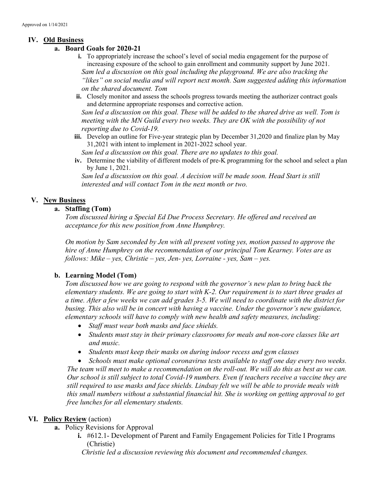### IV. Old Business

- a. Board Goals for 2020-21
	- i. To appropriately increase the school's level of social media engagement for the purpose of increasing exposure of the school to gain enrollment and community support by June 2021. Sam led a discussion on this goal including the playground. We are also tracking the "likes" on social media and will report next month. Sam suggested adding this information on the shared document. Tom
	- ii. Closely monitor and assess the schools progress towards meeting the authorizer contract goals and determine appropriate responses and corrective action.

Sam led a discussion on this goal. These will be added to the shared drive as well. Tom is meeting with the MN Guild every two weeks. They are OK with the possibility of not reporting due to Covid-19.

iii. Develop an outline for Five-year strategic plan by December 31,2020 and finalize plan by May 31,2021 with intent to implement in 2021-2022 school year.

Sam led a discussion on this goal. There are no updates to this goal.

iv. Determine the viability of different models of pre-K programming for the school and select a plan by June 1, 2021.

Sam led a discussion on this goal. A decision will be made soon. Head Start is still interested and will contact Tom in the next month or two.

### V. New Business

### a. Staffing (Tom)

Tom discussed hiring a Special Ed Due Process Secretary. He offered and received an acceptance for this new position from Anne Humphrey.

On motion by Sam seconded by Jen with all present voting yes, motion passed to approve the hire of Anne Humphrey on the recommendation of our principal Tom Kearney. Votes are as follows: Mike – yes, Christie – yes, Jen- yes, Lorraine - yes, Sam – yes.

### b. Learning Model (Tom)

Tom discussed how we are going to respond with the governor's new plan to bring back the elementary students. We are going to start with K-2. Our requirement is to start three grades at a time. After a few weeks we can add grades 3-5. We will need to coordinate with the district for busing. This also will be in concert with having a vaccine. Under the governor's new guidance, elementary schools will have to comply with new health and safety measures, including:

- Staff must wear both masks and face shields.
- Students must stay in their primary classrooms for meals and non-core classes like art and music.
- Students must keep their masks on during indoor recess and gym classes

• Schools must make optional coronavirus tests available to staff one day every two weeks. The team will meet to make a recommendation on the roll-out. We will do this as best as we can. Our school is still subject to total Covid-19 numbers. Even if teachers receive a vaccine they are still required to use masks and face shields. Lindsay felt we will be able to provide meals with this small numbers without a substantial financial hit. She is working on getting approval to get free lunches for all elementary students.

### VI. Policy Review (action)

- a. Policy Revisions for Approval
	- i. #612.1- Development of Parent and Family Engagement Policies for Title I Programs (Christie)

Christie led a discussion reviewing this document and recommended changes.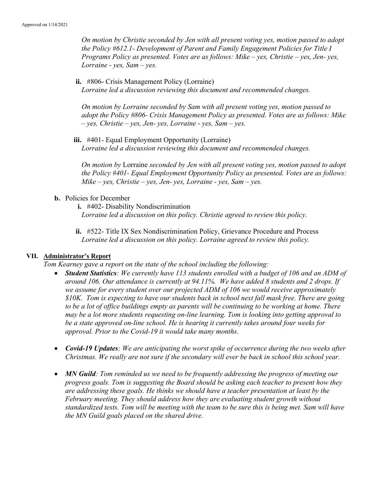On motion by Christie seconded by Jen with all present voting yes, motion passed to adopt the Policy #612.1- Development of Parent and Family Engagement Policies for Title I Programs Policy as presented. Votes are as follows: Mike – yes, Christie – yes, Jen- yes, Lorraine -  $ves$ , Sam –  $ves$ .

ii. #806- Crisis Management Policy (Lorraine) Lorraine led a discussion reviewing this document and recommended changes.

On motion by Lorraine seconded by Sam with all present voting yes, motion passed to adopt the Policy #806- Crisis Management Policy as presented. Votes are as follows: Mike  $-$  yes, Christie – yes, Jen- yes, Lorraine - yes, Sam – yes.

iii. #401- Equal Employment Opportunity (Lorraine) Lorraine led a discussion reviewing this document and recommended changes.

On motion by Lorraine seconded by Jen with all present voting yes, motion passed to adopt the Policy #401- Equal Employment Opportunity Policy as presented. Votes are as follows: Mike – yes, Christie – yes, Jen- yes, Lorraine - yes, Sam – yes.

- b. Policies for December
	- i. #402- Disability Nondiscrimination Lorraine led a discussion on this policy. Christie agreed to review this policy.
	- ii. #522- Title IX Sex Nondiscrimination Policy, Grievance Procedure and Process Lorraine led a discussion on this policy. Lorraine agreed to review this policy.

### VII. Administrator's Report

Tom Kearney gave a report on the state of the school including the following:

- Student Statistics: We currently have 113 students enrolled with a budget of 106 and an ADM of around 106. Our attendance is currently at 94.11%. We have added 8 students and 2 drops. If we assume for every student over our projected ADM of 106 we would receive approximately \$10K. Tom is expecting to have our students back in school next fall mask free. There are going to be a lot of office buildings empty as parents will be continuing to be working at home. There may be a lot more students requesting on-line learning. Tom is looking into getting approval to be a state approved on-line school. He is hearing it currently takes around four weeks for approval. Prior to the Covid-19 it would take many months.
- Covid-19 Updates: We are anticipating the worst spike of occurrence during the two weeks after Christmas. We really are not sure if the secondary will ever be back in school this school year.
- MN Guild: Tom reminded us we need to be frequently addressing the progress of meeting our progress goals. Tom is suggesting the Board should be asking each teacher to present how they are addressing these goals. He thinks we should have a teacher presentation at least by the February meeting. They should address how they are evaluating student growth without standardized tests. Tom will be meeting with the team to be sure this is being met. Sam will have the MN Guild goals placed on the shared drive.